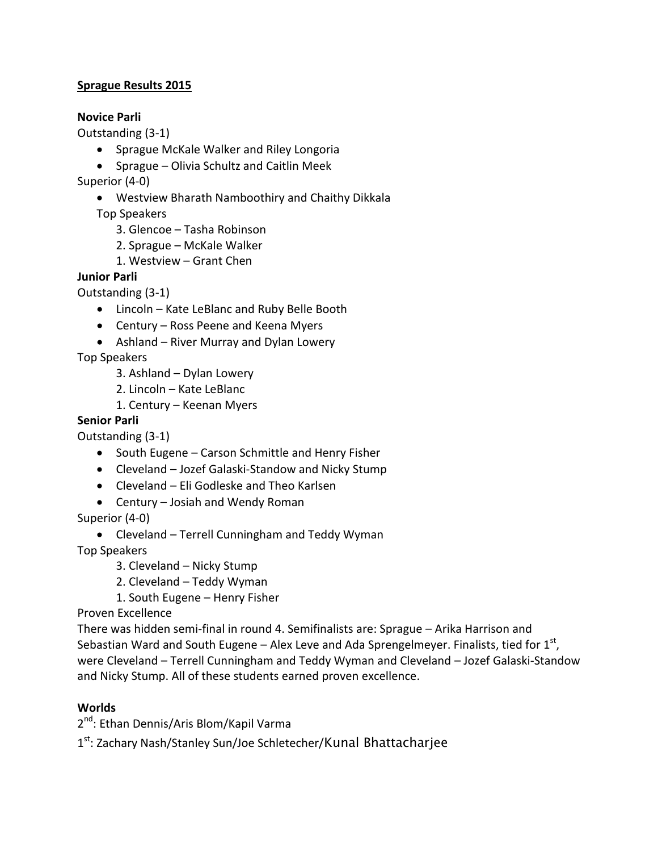#### **Sprague Results 2015**

#### **Novice Parli**

Outstanding (3-1)

- · Sprague McKale Walker and Riley Longoria
- · Sprague Olivia Schultz and Caitlin Meek
- Superior (4-0)
	- · Westview Bharath Namboothiry and Chaithy Dikkala

Top Speakers

- 3. Glencoe Tasha Robinson
- 2. Sprague McKale Walker
- 1. Westview Grant Chen

#### **Junior Parli**

Outstanding (3-1)

- · Lincoln Kate LeBlanc and Ruby Belle Booth
- · Century Ross Peene and Keena Myers
- · Ashland River Murray and Dylan Lowery

Top Speakers

- 3. Ashland Dylan Lowery
- 2. Lincoln Kate LeBlanc
- 1. Century Keenan Myers

#### **Senior Parli**

Outstanding (3-1)

- · South Eugene Carson Schmittle and Henry Fisher
- · Cleveland Jozef Galaski-Standow and Nicky Stump
- · Cleveland Eli Godleske and Theo Karlsen
- · Century Josiah and Wendy Roman

Superior (4-0)

· Cleveland – Terrell Cunningham and Teddy Wyman

Top Speakers

- 3. Cleveland Nicky Stump
- 2. Cleveland Teddy Wyman

1. South Eugene – Henry Fisher

Proven Excellence

There was hidden semi-final in round 4. Semifinalists are: Sprague – Arika Harrison and Sebastian Ward and South Eugene – Alex Leve and Ada Sprengelmeyer. Finalists, tied for  $1^{\text{st}}$ , were Cleveland – Terrell Cunningham and Teddy Wyman and Cleveland – Jozef Galaski-Standow and Nicky Stump. All of these students earned proven excellence.

#### **Worlds**

2<sup>nd</sup>: Ethan Dennis/Aris Blom/Kapil Varma

1st: Zachary Nash/Stanley Sun/Joe Schletecher/Kunal Bhattacharjee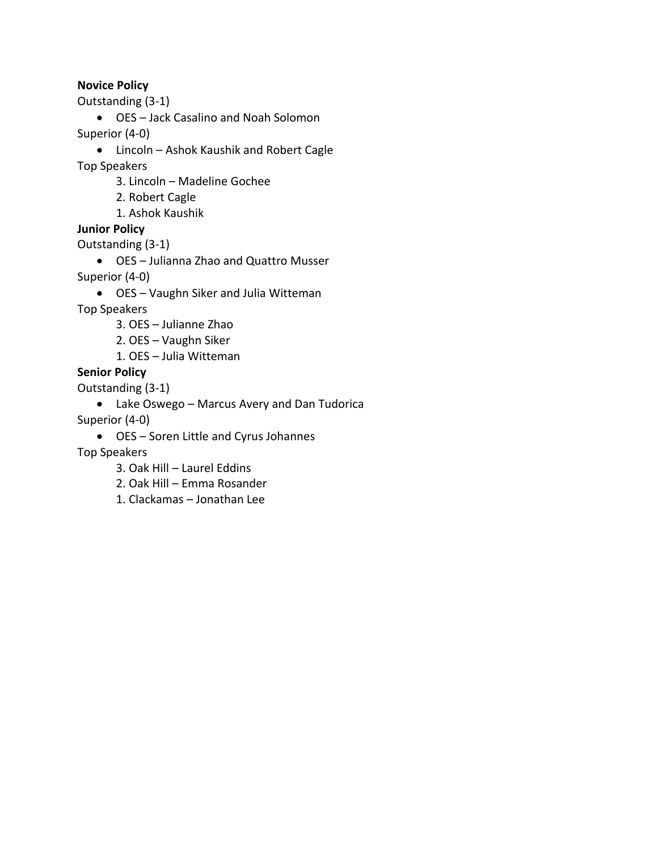#### **Novice Policy**

Outstanding (3-1)

- · OES Jack Casalino and Noah Solomon Superior (4-0)
- - · Lincoln Ashok Kaushik and Robert Cagle
- Top Speakers
	- 3. Lincoln Madeline Gochee
	- 2. Robert Cagle
	- 1. Ashok Kaushik

#### **Junior Policy**

Outstanding (3-1)

- · OES Julianna Zhao and Quattro Musser Superior (4-0)
	- · OES Vaughn Siker and Julia Witteman

Top Speakers

- 3. OES Julianne Zhao
- 2. OES Vaughn Siker
- 1. OES Julia Witteman

#### **Senior Policy**

Outstanding (3-1)

- · Lake Oswego Marcus Avery and Dan Tudorica
- Superior (4-0)
	- · OES Soren Little and Cyrus Johannes
- Top Speakers
	- 3. Oak Hill Laurel Eddins
	- 2. Oak Hill Emma Rosander
	- 1. Clackamas Jonathan Lee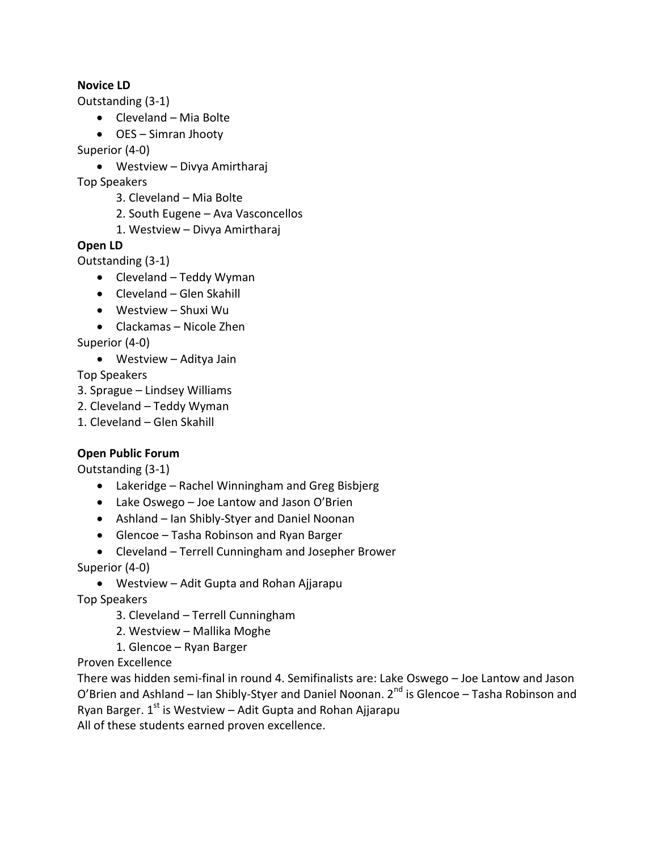#### **Novice LD**

Outstanding (3-1)

- · Cleveland Mia Bolte
- · OES Simran Jhooty

Superior (4-0)

· Westview – Divya Amirtharaj

Top Speakers

- 3. Cleveland Mia Bolte
- 2. South Eugene Ava Vasconcellos
- 1. Westview Divya Amirtharaj

#### **Open LD**

Outstanding (3-1)

- · Cleveland Teddy Wyman
- · Cleveland Glen Skahill
- · Westview Shuxi Wu
- · Clackamas Nicole Zhen

Superior (4-0)

· Westview – Aditya Jain

Top Speakers

- 3. Sprague Lindsey Williams
- 2. Cleveland Teddy Wyman
- 1. Cleveland Glen Skahill

#### **Open Public Forum**

Outstanding (3-1)

- · Lakeridge Rachel Winningham and Greg Bisbjerg
- · Lake Oswego Joe Lantow and Jason O'Brien
- · Ashland Ian Shibly-Styer and Daniel Noonan
- · Glencoe Tasha Robinson and Ryan Barger
- · Cleveland Terrell Cunningham and Josepher Brower

Superior (4-0)

· Westview – Adit Gupta and Rohan Ajjarapu

Top Speakers

- 3. Cleveland Terrell Cunningham
- 2. Westview Mallika Moghe
- 1. Glencoe Ryan Barger

Proven Excellence

There was hidden semi-final in round 4. Semifinalists are: Lake Oswego – Joe Lantow and Jason O'Brien and Ashland – Ian Shibly-Styer and Daniel Noonan.  $2^{nd}$  is Glencoe – Tasha Robinson and Ryan Barger.  $1<sup>st</sup>$  is Westview – Adit Gupta and Rohan Ajjarapu

All of these students earned proven excellence.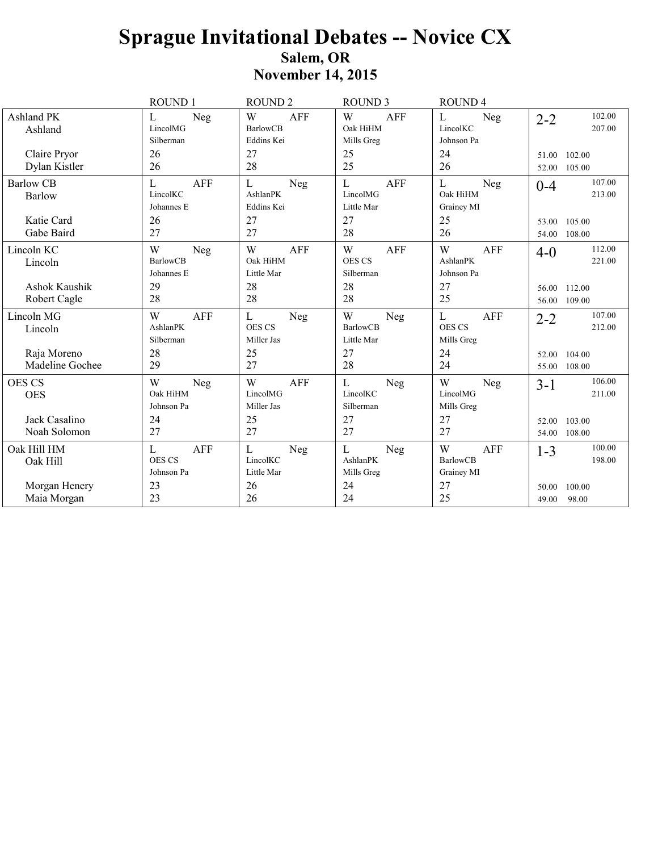## **Sprague Invitational Debates -- Novice CX** Salem, OR **November 14, 2015**

|                                | ROUND <sub>1</sub>                             | <b>ROUND 2</b>                                     | <b>ROUND 3</b>                                | <b>ROUND4</b>                                      |                                    |
|--------------------------------|------------------------------------------------|----------------------------------------------------|-----------------------------------------------|----------------------------------------------------|------------------------------------|
| Ashland PK<br>Ashland          | Neg<br>L<br>LincolMG<br>Silberman              | W<br><b>AFF</b><br><b>BarlowCB</b><br>Eddins Kei   | W<br><b>AFF</b><br>Oak HiHM<br>Mills Greg     | L<br>Neg<br>LincolKC<br>Johnson Pa                 | 102.00<br>$2 - 2$<br>207.00        |
| Claire Pryor<br>Dylan Kistler  | 26<br>26                                       | 27<br>28                                           | 25<br>25                                      | 24<br>26                                           | 102.00<br>51.00<br>52.00<br>105.00 |
| <b>Barlow CB</b><br>Barlow     | <b>AFF</b><br>L<br>LincolKC<br>Johannes E      | $\mathbf{L}$<br>Neg<br>AshlanPK<br>Eddins Kei      | L<br><b>AFF</b><br>LincolMG<br>Little Mar     | L<br>Neg<br>Oak HiHM<br>Grainey MI                 | 107.00<br>$0 - 4$<br>213.00        |
| Katie Card<br>Gabe Baird       | 26<br>27                                       | 27<br>27                                           | 27<br>28                                      | 25<br>26                                           | 53.00<br>105.00<br>108.00<br>54.00 |
| Lincoln KC<br>Lincoln          | W<br>Neg<br><b>BarlowCB</b><br>Johannes E      | W<br><b>AFF</b><br>Oak HiHM<br>Little Mar          | W<br><b>AFF</b><br><b>OES CS</b><br>Silberman | W<br>AFF<br>AshlanPK<br>Johnson Pa                 | 112.00<br>$4 - 0$<br>221.00        |
| Ashok Kaushik<br>Robert Cagle  | 29<br>28                                       | 28<br>28                                           | 28<br>28                                      | 27<br>25                                           | 56.00 112.00<br>56.00 109.00       |
| Lincoln MG<br>Lincoln          | W<br><b>AFF</b><br>AshlanPK<br>Silberman       | $\mathbf{L}$<br>Neg<br><b>OES CS</b><br>Miller Jas | W<br>Neg<br><b>BarlowCB</b><br>Little Mar     | $\mathbf{L}$<br>AFF<br><b>OES CS</b><br>Mills Greg | 107.00<br>$2 - 2$<br>212.00        |
| Raja Moreno<br>Madeline Gochee | 28<br>29                                       | 25<br>27                                           | 27<br>28                                      | 24<br>24                                           | 104.00<br>52.00<br>55.00 108.00    |
| <b>OES CS</b><br><b>OES</b>    | W<br>Neg<br>Oak HiHM<br>Johnson Pa             | W<br><b>AFF</b><br>LincolMG<br>Miller Jas          | L<br>Neg<br>LincolKC<br>Silberman             | W<br>Neg<br>LincolMG<br>Mills Greg                 | 106.00<br>$3-1$<br>211.00          |
| Jack Casalino<br>Noah Solomon  | 24<br>27                                       | 25<br>27                                           | 27<br>27                                      | 27<br>27                                           | 103.00<br>52.00<br>54.00<br>108.00 |
| Oak Hill HM<br>Oak Hill        | <b>AFF</b><br>L<br><b>OES CS</b><br>Johnson Pa | ${\bf L}$<br>Neg<br>LincolKC<br>Little Mar         | L<br>Neg<br>AshlanPK<br>Mills Greg            | W<br><b>AFF</b><br><b>BarlowCB</b><br>Grainey MI   | 100.00<br>$1 - 3$<br>198.00        |
| Morgan Henery<br>Maia Morgan   | 23<br>23                                       | 26<br>26                                           | 24<br>24                                      | 27<br>25                                           | 100.00<br>50.00<br>98.00<br>49.00  |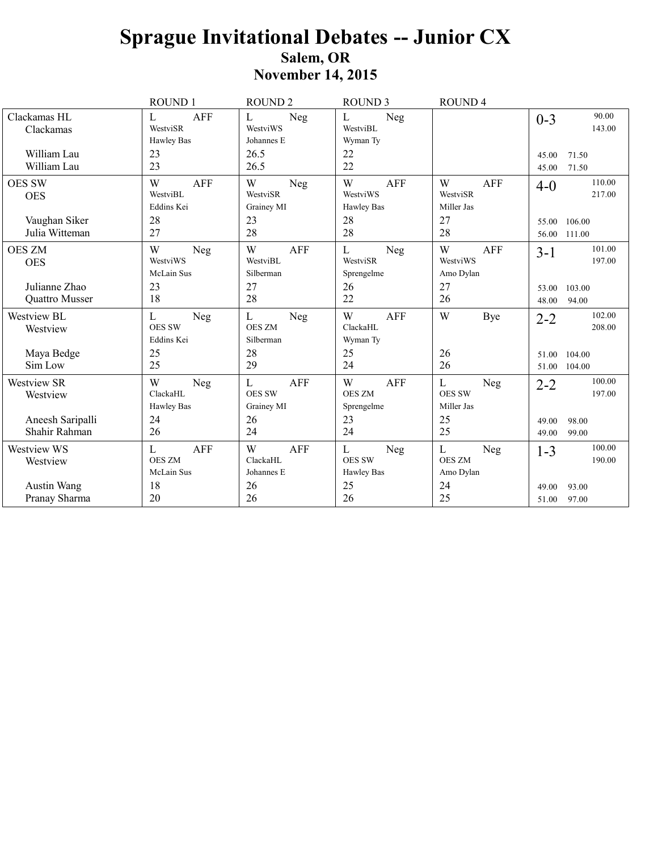|                           | <b>ROUND1</b>               | <b>ROUND 2</b>             | <b>ROUND 3</b>       | <b>ROUND4</b>   |                            |
|---------------------------|-----------------------------|----------------------------|----------------------|-----------------|----------------------------|
| Clackamas HL<br>Clackamas | <b>AFF</b><br>L<br>WestviSR | L<br>Neg<br>WestviWS       | L<br>Neg<br>WestviBL |                 | 90.00<br>$0 - 3$<br>143.00 |
|                           | <b>Hawley Bas</b>           | Johannes E                 | Wyman Ty             |                 |                            |
| William Lau               | 23                          | 26.5                       | 22                   |                 | 71.50<br>45.00             |
| William Lau               | 23                          | 26.5                       | 22                   |                 | 71.50<br>45.00             |
| <b>OES SW</b>             | W<br><b>AFF</b>             | W<br>Neg                   | W<br><b>AFF</b>      | W<br><b>AFF</b> | 110.00<br>$4 - 0$          |
| <b>OES</b>                | WestviBL                    | WestviSR                   | WestviWS             | WestviSR        | 217.00                     |
|                           | Eddins Kei                  | Grainey MI                 | Hawley Bas           | Miller Jas      |                            |
| Vaughan Siker             | 28                          | 23                         | 28                   | 27              | 106.00<br>55.00            |
| Julia Witteman            | 27                          | 28                         | 28                   | 28              | 111.00<br>56.00            |
| <b>OES ZM</b>             | W<br>Neg                    | W<br><b>AFF</b>            | $\Gamma$<br>Neg      | W<br><b>AFF</b> | 101.00<br>$3 - 1$          |
| <b>OES</b>                | WestviWS                    | WestviBL                   | WestviSR             | WestviWS        | 197.00                     |
|                           | McLain Sus                  | Silberman                  | Sprengelme           | Amo Dylan       |                            |
| Julianne Zhao             | 23                          | 27                         | 26                   | 27              | 103.00<br>53.00            |
| Quattro Musser            | 18                          | 28                         | 22                   | 26              | 48.00<br>94.00             |
| Westview BL               | $\mathbf L$<br>Neg          | $\mathbf L$<br>Neg         | W<br>AFF             | W<br>Bye        | 102.00<br>$2 - 2$          |
| Westview                  | <b>OES SW</b>               | <b>OES ZM</b>              | ClackaHL             |                 | 208.00                     |
|                           | Eddins Kei                  | Silberman                  | Wyman Ty             |                 |                            |
| Maya Bedge                | 25                          | 28                         | 25                   | 26              | 51.00<br>104.00            |
| Sim Low                   | 25                          | 29                         | 24                   | 26              | 104.00<br>51.00            |
| Westview SR               | W<br>Neg                    | $\mathbf{L}$<br><b>AFF</b> | <b>AFF</b><br>W      | L<br>Neg        | 100.00<br>$2 - 2$          |
| Westview                  | ClackaHL                    | <b>OES SW</b>              | <b>OES ZM</b>        | <b>OES SW</b>   | 197.00                     |
|                           | <b>Hawley Bas</b>           | Grainey MI                 | Sprengelme           | Miller Jas      |                            |
| Aneesh Saripalli          | 24                          | 26                         | 23                   | 25              | 98.00<br>49.00             |
| Shahir Rahman             | 26                          | 24                         | 24                   | 25              | 99.00<br>49.00             |
| Westview WS               | <b>AFF</b><br>L             | W<br><b>AFF</b>            | L<br>Neg             | L<br>Neg        | 100.00<br>$1 - 3$          |
| Westview                  | <b>OES ZM</b>               | ClackaHL                   | <b>OES SW</b>        | <b>OES ZM</b>   | 190.00                     |
|                           | McLain Sus                  | Johannes E                 | Hawley Bas           | Amo Dylan       |                            |
| Austin Wang               | 18                          | 26                         | 25                   | 24              | 93.00<br>49.00             |
| Pranay Sharma             | 20                          | 26                         | 26                   | 25              | 97.00<br>51.00             |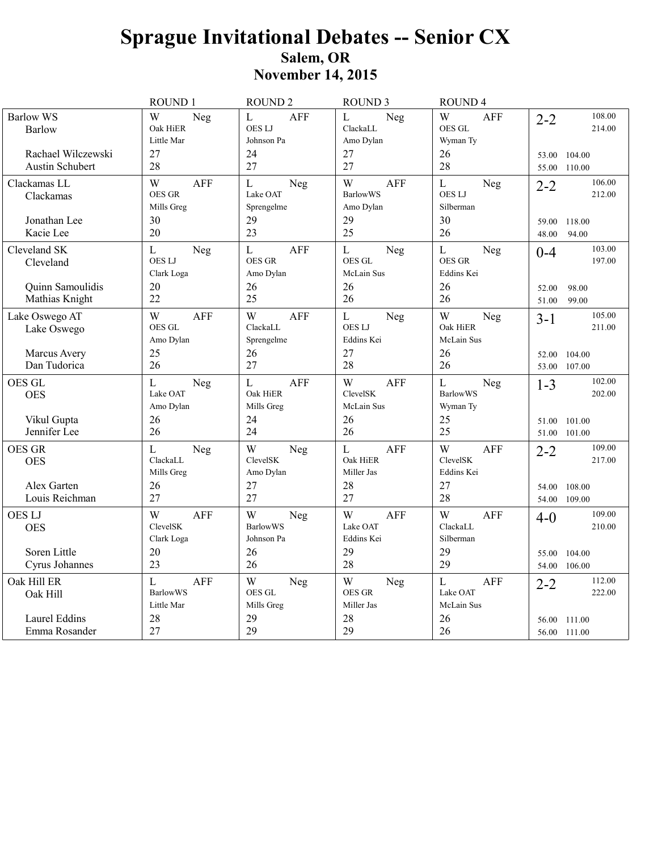|                                                                 | ROUND 1                                                       | <b>ROUND 2</b>                                                      | <b>ROUND 3</b>                                          | <b>ROUND4</b>                                                  |                                                                 |
|-----------------------------------------------------------------|---------------------------------------------------------------|---------------------------------------------------------------------|---------------------------------------------------------|----------------------------------------------------------------|-----------------------------------------------------------------|
| <b>Barlow WS</b><br>Barlow                                      | W<br>Neg<br>Oak HiER<br>Little Mar                            | L<br><b>AFF</b><br><b>OESLJ</b><br>Johnson Pa                       | $\mathbf L$<br>Neg<br>ClackaLL<br>Amo Dylan             | W<br><b>AFF</b><br><b>OES GL</b><br>Wyman Ty                   | 108.00<br>$2 - 2$<br>214.00                                     |
| Rachael Wilczewski<br>Austin Schubert                           | 27<br>28                                                      | 24<br>27                                                            | 27<br>27                                                | 26<br>28                                                       | 53.00 104.00<br>55.00 110.00                                    |
| Clackamas LL<br>Clackamas                                       | W<br><b>AFF</b><br><b>OES GR</b><br>Mills Greg                | $\mathbf L$<br>Neg<br>Lake OAT<br>Sprengelme                        | W<br><b>AFF</b><br><b>BarlowWS</b><br>Amo Dylan         | $\mathbf{L}$<br>Neg<br><b>OESLJ</b><br>Silberman               | 106.00<br>$2 - 2$<br>212.00                                     |
| Jonathan Lee<br>Kacie Lee                                       | 30<br>20                                                      | 29<br>23                                                            | 29<br>25                                                | 30<br>26                                                       | 59.00<br>118.00<br>48.00<br>94.00                               |
| Cleveland SK<br>Cleveland<br>Quinn Samoulidis<br>Mathias Knight | $\mathbf{L}$<br>Neg<br><b>OESLJ</b><br>Clark Loga<br>20<br>22 | $\mathbf L$<br><b>AFF</b><br><b>OES GR</b><br>Amo Dylan<br>26<br>25 | $\mathbf{L}$<br>Neg<br>OES GL<br>McLain Sus<br>26<br>26 | $\mathbf L$<br>Neg<br><b>OES GR</b><br>Eddins Kei<br>26<br>26  | 103.00<br>$0 - 4$<br>197.00<br>98.00<br>52.00<br>51.00<br>99.00 |
| Lake Oswego AT<br>Lake Oswego<br>Marcus Avery                   | W<br><b>AFF</b><br>OES GL<br>Amo Dylan<br>25                  | W<br><b>AFF</b><br>ClackaLL<br>Sprengelme<br>26                     | $\mathbf L$<br>Neg<br><b>OESLJ</b><br>Eddins Kei<br>27  | W<br>Neg<br>Oak HiER<br>McLain Sus<br>26                       | 105.00<br>$3 - 1$<br>211.00<br>52.00 104.00                     |
| Dan Tudorica                                                    | 26                                                            | 27                                                                  | 28                                                      | 26                                                             | 53.00 107.00                                                    |
| OES GL<br><b>OES</b><br>Vikul Gupta<br>Jennifer Lee             | $\mathbf{L}$<br>Neg<br>Lake OAT<br>Amo Dylan<br>26<br>26      | $\mathbf L$<br><b>AFF</b><br>Oak HiER<br>Mills Greg<br>24<br>24     | W<br><b>AFF</b><br>ClevelSK<br>McLain Sus<br>26<br>26   | $\mathbf{L}$<br>Neg<br><b>BarlowWS</b><br>Wyman Ty<br>25<br>25 | 102.00<br>$1 - 3$<br>202.00<br>51.00 101.00<br>51.00 101.00     |
| <b>OES GR</b><br><b>OES</b><br>Alex Garten<br>Louis Reichman    | $\mathbf{L}$<br>Neg<br>ClackaLL<br>Mills Greg<br>26<br>27     | W<br>Neg<br>ClevelSK<br>Amo Dylan<br>27<br>27                       | L<br><b>AFF</b><br>Oak HiER<br>Miller Jas<br>28<br>27   | W<br>AFF<br>ClevelSK<br>Eddins Kei<br>27<br>28                 | 109.00<br>$2 - 2$<br>217.00<br>54.00 108.00<br>54.00 109.00     |
| <b>OES LJ</b><br><b>OES</b>                                     | W<br><b>AFF</b><br>ClevelSK<br>Clark Loga                     | W<br>Neg<br><b>BarlowWS</b><br>Johnson Pa                           | W<br><b>AFF</b><br>Lake OAT<br>Eddins Kei               | W<br>AFF<br>ClackaLL<br>Silberman                              | 109.00<br>$4 - 0$<br>210.00                                     |
| Soren Little<br>Cyrus Johannes                                  | 20<br>23                                                      | 26<br>26                                                            | 29<br>28                                                | 29<br>29                                                       | 55.00<br>104.00<br>54.00 106.00                                 |
| Oak Hill ER<br>Oak Hill                                         | L<br><b>AFF</b><br><b>BarlowWS</b><br>Little Mar              | W<br>Neg<br>OES GL<br>Mills Greg                                    | W<br>Neg<br><b>OES GR</b><br>Miller Jas                 | $\mathbf{L}$<br>AFF<br>Lake OAT<br>McLain Sus                  | 112.00<br>$2 - 2$<br>222.00                                     |
| Laurel Eddins<br>Emma Rosander                                  | 28<br>27                                                      | 29<br>29                                                            | 28<br>29                                                | 26<br>26                                                       | 56.00<br>111.00<br>56.00 111.00                                 |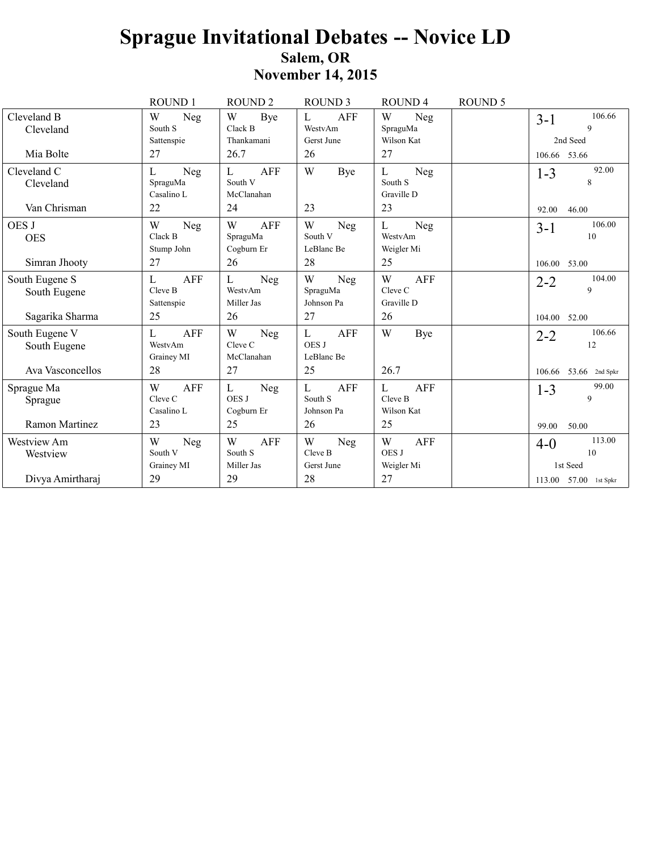## **Sprague Invitational Debates -- Novice LD** Salem, OR **November 14, 2015**

|                                | ROUND <sub>1</sub>                       | <b>ROUND2</b>                                | <b>ROUND 3</b>                                | <b>ROUND 4</b>                           | <b>ROUND 5</b> |                                     |
|--------------------------------|------------------------------------------|----------------------------------------------|-----------------------------------------------|------------------------------------------|----------------|-------------------------------------|
| Cleveland B<br>Cleveland       | W<br>Neg<br>South S                      | W<br>Bye<br>Clack B                          | <b>AFF</b><br>$\mathbf{L}$<br>WestvAm         | W<br>Neg<br>SpraguMa                     |                | 106.66<br>$3-1$<br>9                |
|                                | Sattenspie                               | Thankamani                                   | Gerst June                                    | Wilson Kat                               |                | 2nd Seed                            |
| Mia Bolte                      | 27                                       | 26.7                                         | 26                                            | 27                                       |                | 106.66 53.66                        |
| Cleveland C<br>Cleveland       | L<br>Neg<br>SpraguMa<br>Casalino L       | <b>AFF</b><br>L<br>South V<br>McClanahan     | W<br>Bye                                      | L<br>Neg<br>South S<br>Graville D        |                | 92.00<br>$1 - 3$<br>8               |
| Van Chrisman                   | 22                                       | 24                                           | 23                                            | 23                                       |                | 92.00<br>46.00                      |
| OES J<br><b>OES</b>            | W<br>Neg<br>Clack B<br>Stump John        | W<br><b>AFF</b><br>SpraguMa<br>Cogburn Er    | W<br>Neg<br>South V<br>LeBlanc Be             | L<br>Neg<br>WestvAm<br>Weigler Mi        |                | 106.00<br>$3-1$<br>10               |
| Simran Jhooty                  | 27                                       | 26                                           | 28                                            | 25                                       |                | 106.00 53.00                        |
| South Eugene S<br>South Eugene | <b>AFF</b><br>L<br>Cleve B<br>Sattenspie | $\mathbf{L}$<br>Neg<br>WestvAm<br>Miller Jas | W<br>Neg<br>SpraguMa<br>Johnson Pa            | W<br><b>AFF</b><br>Cleve C<br>Graville D |                | 104.00<br>$2 - 2$<br>9              |
| Sagarika Sharma                | 25                                       | 26                                           | 27                                            | 26                                       |                | 104.00<br>52.00                     |
| South Eugene V<br>South Eugene | <b>AFF</b><br>L<br>WestvAm<br>Grainey MI | W<br>Neg<br>Cleve C<br>McClanahan            | <b>AFF</b><br>L<br><b>OES J</b><br>LeBlanc Be | W<br>Bye                                 |                | 106.66<br>$2 - 2$<br>12             |
| Ava Vasconcellos               | 28                                       | 27                                           | 25                                            | 26.7                                     |                | 53.66 2nd Spkr<br>106.66            |
| Sprague Ma<br>Sprague          | W<br>AFF<br>Cleve C<br>Casalino L        | L<br>Neg<br><b>OES J</b><br>Cogburn Er       | L<br><b>AFF</b><br>South S<br>Johnson Pa      | L<br><b>AFF</b><br>Cleve B<br>Wilson Kat |                | 99.00<br>$1 - 3$<br>9               |
| Ramon Martinez                 | 23                                       | 25                                           | 26                                            | 25                                       |                | 99.00<br>50.00                      |
| Westview Am<br>Westview        | W<br>Neg<br>South V<br>Grainey MI        | W<br><b>AFF</b><br>South S<br>Miller Jas     | W<br>Neg<br>Cleve B<br>Gerst June             | W<br><b>AFF</b><br>OES J<br>Weigler Mi   |                | 113.00<br>$4 - 0$<br>10<br>1st Seed |
| Divya Amirtharaj               | 29                                       | 29                                           | 28                                            | 27                                       |                | 113.00 57.00 1st Spkr               |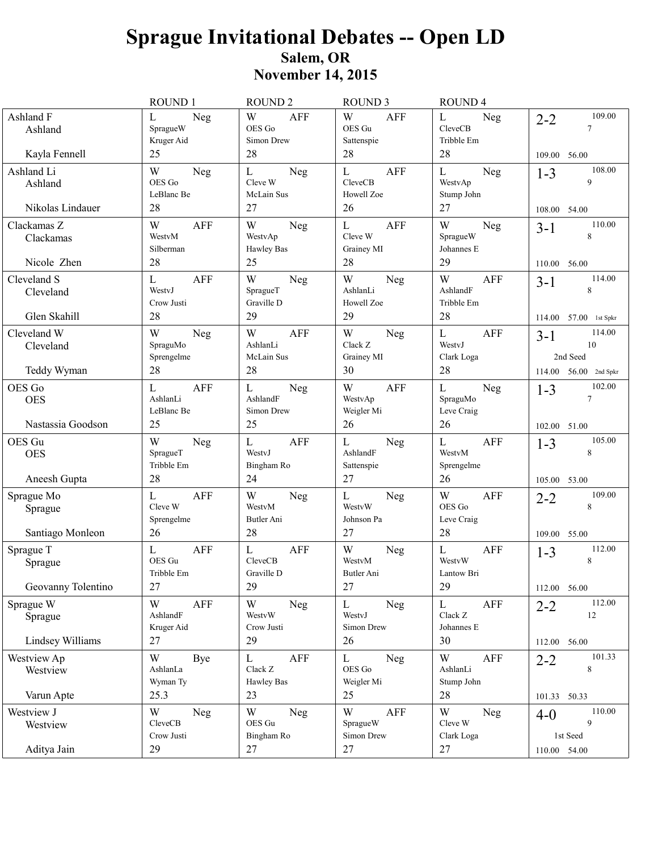# **Sprague Invitational Debates - Open LD** Salem, OR<br>November 14, 2015

|                                           | ROUND 1                                       | <b>ROUND 2</b>                                          | <b>ROUND 3</b>                                            | ROUND <sub>4</sub>                                |                                        |
|-------------------------------------------|-----------------------------------------------|---------------------------------------------------------|-----------------------------------------------------------|---------------------------------------------------|----------------------------------------|
| Ashland F<br>Ashland                      | L<br>Neg<br>SpragueW<br>Kruger Aid            | W<br><b>AFF</b><br>OES Go<br>Simon Drew                 | W<br><b>AFF</b><br>OES Gu<br>Sattenspie                   | L<br>Neg<br>CleveCB<br>Tribble Em                 | 109.00<br>$2 - 2$<br>7                 |
| Kayla Fennell                             | 25                                            | 28                                                      | 28                                                        | 28                                                | 109.00 56.00                           |
| Ashland Li<br>Ashland<br>Nikolas Lindauer | W<br>Neg<br>OES Go<br>LeBlanc Be<br>28        | $\mathbf L$<br>Neg<br>Cleve W<br>McLain Sus<br>27       | $\mathbf{L}$<br><b>AFF</b><br>CleveCB<br>Howell Zoe<br>26 | $\mathbf L$<br>Neg<br>WestvAp<br>Stump John<br>27 | 108.00<br>$1 - 3$<br>9<br>108.00 54.00 |
| Clackamas Z                               | W<br>AFF                                      | W                                                       | $\mathbf L$<br><b>AFF</b>                                 | W                                                 | 110.00                                 |
| Clackamas<br>Nicole Zhen                  | WestvM<br>Silberman<br>28                     | Neg<br>WestvAp<br>Hawley Bas<br>25                      | Cleve W<br>Grainey MI<br>28                               | Neg<br>SpragueW<br>Johannes E<br>29               | $3 - 1$<br>8<br>110.00 56.00           |
|                                           |                                               |                                                         |                                                           |                                                   | 114.00                                 |
| Cleveland S<br>Cleveland<br>Glen Skahill  | L<br><b>AFF</b><br>WestvJ<br>Crow Justi<br>28 | W<br>Neg<br>SpragueT<br>Graville D<br>29                | W<br>Neg<br>AshlanLi<br>Howell Zoe<br>29                  | W<br><b>AFF</b><br>AshlandF<br>Tribble Em<br>28   | $3-1$<br>8                             |
|                                           |                                               |                                                         |                                                           |                                                   | 57.00 1st Spkr<br>114.00               |
| Cleveland W<br>Cleveland                  | W<br>Neg<br>SpraguMo<br>Sprengelme            | W<br><b>AFF</b><br>AshlanLi<br>McLain Sus               | W<br>Neg<br>Clack Z<br>Grainey MI                         | $\mathbf L$<br><b>AFF</b><br>WestyJ<br>Clark Loga | 114.00<br>$3-1$<br>10<br>2nd Seed      |
| Teddy Wyman                               | 28                                            | 28                                                      | 30                                                        | 28                                                | 114.00 56.00 2nd Spkr                  |
| OES Go<br><b>OES</b>                      | L<br><b>AFF</b><br>AshlanLi<br>LeBlanc Be     | $\mathbf L$<br>Neg<br>AshlandF<br>Simon Drew            | W<br><b>AFF</b><br>WestvAp<br>Weigler Mi                  | $\mathbf L$<br>Neg<br>SpraguMo<br>Leve Craig      | 102.00<br>$1 - 3$<br>7                 |
| Nastassia Goodson                         | 25                                            | 25                                                      | 26                                                        | 26                                                | 102.00 51.00                           |
| OES Gu<br><b>OES</b><br>Aneesh Gupta      | W<br>Neg<br>SpragueT<br>Tribble Em<br>28      | $\mathbf L$<br><b>AFF</b><br>WestyJ<br>Bingham Ro<br>24 | L<br>Neg<br>AshlandF<br>Sattenspie<br>27                  | $\mathbf L$<br>AFF<br>WestvM<br>Sprengelme<br>26  | 105.00<br>$1 - 3$<br>8                 |
|                                           |                                               |                                                         |                                                           |                                                   | 105.00 53.00<br>109.00                 |
| Sprague Mo<br>Sprague                     | L<br><b>AFF</b><br>Cleve W<br>Sprengelme      | W<br>Neg<br>WestvM<br>Butler Ani                        | $\Gamma$<br>Neg<br>WestvW<br>Johnson Pa                   | W<br><b>AFF</b><br>OES Go<br>Leve Craig           | $2 - 2$<br>8                           |
| Santiago Monleon                          | 26                                            | 28                                                      | 27                                                        | 28                                                | 109.00 55.00                           |
| Sprague T<br>Sprague                      | L<br><b>AFF</b><br>OES Gu<br>Tribble Em       | L<br><b>AFF</b><br>CleveCB<br>Graville D                | W<br>Neg<br>WestvM<br>Butler Ani                          | <b>AFF</b><br>L<br>WestvW<br>Lantow Bri           | 112.00<br>$1 - 3$<br>8                 |
| Geovanny Tolentino                        | 27                                            | 29                                                      | 27                                                        | 29                                                | 112.00 56.00                           |
| Sprague W<br>Sprague                      | W<br>AFF<br>AshlandF<br>Kruger Aid            | W<br>Neg<br>WestvW<br>Crow Justi                        | $\mathbf{L}$<br>Neg<br>WestvJ<br>Simon Drew               | $\mathbf L$<br>AFF<br>Clack Z<br>Johannes E       | 112.00<br>$2 - 2$<br>12                |
| Lindsey Williams                          | 27                                            | 29                                                      | 26                                                        | 30                                                | 112.00 56.00                           |
| Westview Ap<br>Westview                   | W<br>Bye<br>AshlanLa<br>Wyman Ty              | $\mathbf L$<br>AFF<br>Clack Z<br>Hawley Bas             | $\mathbf{L}$<br>Neg<br>OES Go<br>Weigler Mi               | W<br>AFF<br>AshlanLi<br>Stump John                | 101.33<br>$2 - 2$<br>8                 |
| Varun Apte                                | 25.3                                          | 23                                                      | 25                                                        | 28                                                | 101.33 50.33                           |
| Westview J<br>Westview                    | W<br>Neg<br>CleveCB<br>Crow Justi             | W<br>Neg<br>OES Gu<br>Bingham Ro                        | W<br>AFF<br>SpragueW<br>Simon Drew                        | W<br>Neg<br>Cleve W<br>Clark Loga                 | 110.00<br>$4 - 0$<br>9<br>1st Seed     |
| Aditya Jain                               | 29                                            | 27                                                      | 27                                                        | 27                                                | 110.00 54.00                           |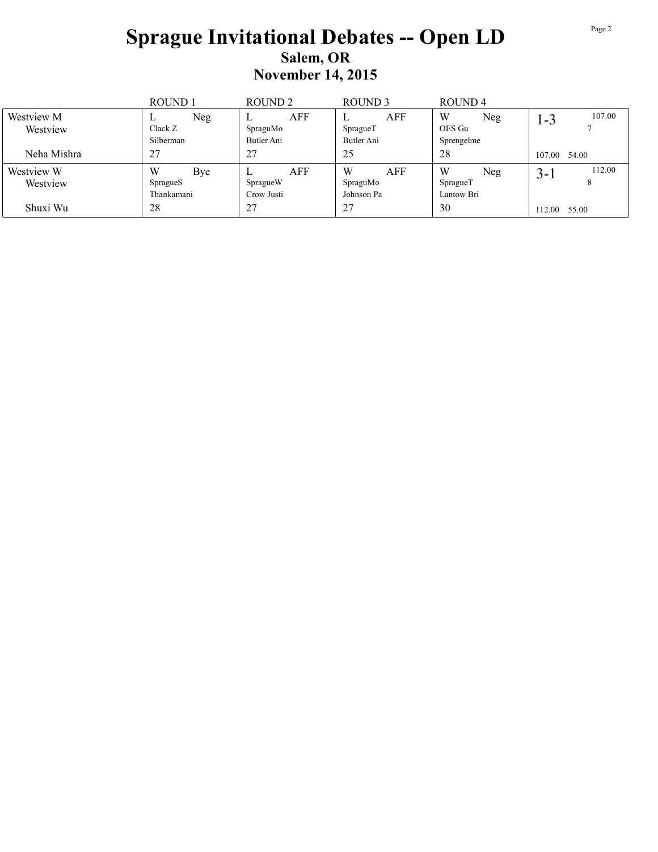## **Sprague Invitational Debates -- Open LD** Salem, OR **November 14, 2015**

|                        | ROUND <sub>1</sub>  | ROUND <sub>2</sub> | ROUND <sub>3</sub>   | ROUND <sub>4</sub> |                   |
|------------------------|---------------------|--------------------|----------------------|--------------------|-------------------|
| Westview M<br>Westview | Neg<br>⊷<br>Clack Z | AFF<br>SpraguMo    | AFF<br>⊥<br>SpragueT | W<br>Neg<br>OES Gu | 107.00<br>1-3     |
|                        | Silberman           | Butler Ani         | Butler Ani           | Sprengelme         |                   |
| Neha Mishra            | 27                  | 27                 | 25                   | 28                 | 107.00 54.00      |
| Westview W             | W<br>Bye            | AFF                | W<br>AFF             | W<br>Neg           | 112.00<br>$3 - i$ |
| Westview               | SpragueS            | SpragueW           | SpraguMo             | SpragueT           | 8                 |
|                        | Thankamani          | Crow Justi         | Johnson Pa           | Lantow Bri         |                   |
| Shuxi Wu               | 28                  | 27                 | 27                   | 30                 | 112.00<br>55.00   |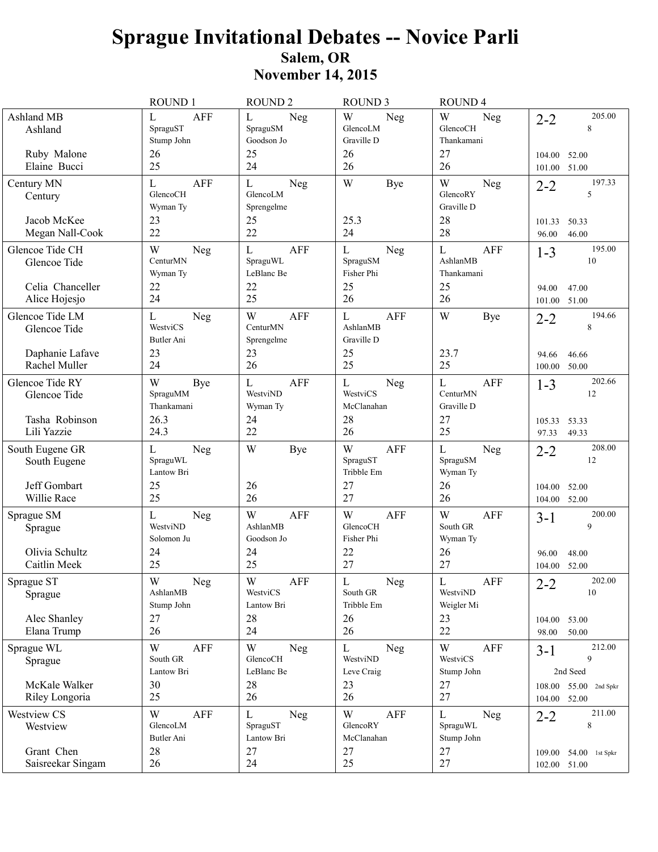|                                                                     | <b>ROUND1</b>                                             | <b>ROUND2</b>                                                          | <b>ROUND 3</b>                                                  | <b>ROUND4</b>                                             |                                                             |
|---------------------------------------------------------------------|-----------------------------------------------------------|------------------------------------------------------------------------|-----------------------------------------------------------------|-----------------------------------------------------------|-------------------------------------------------------------|
| Ashland MB<br>Ashland<br>Ruby Malone                                | $\mathbf L$<br><b>AFF</b><br>SpraguST<br>Stump John<br>26 | L<br>Neg<br>SpraguSM<br>Goodson Jo<br>25                               | W<br>Neg<br>GlencoLM<br>Graville D<br>26                        | W<br>Neg<br>GlencoCH<br>Thankamani<br>27                  | 205.00<br>$2 - 2$<br>8<br>52.00<br>104.00                   |
| Elaine Bucci                                                        | 25                                                        | 24                                                                     | 26                                                              | 26                                                        | 51.00<br>101.00                                             |
| Century MN<br>Century<br>Jacob McKee                                | <b>AFF</b><br>L<br>GlencoCH<br>Wyman Ty<br>23             | Neg<br>L<br>GlencoLM<br>Sprengelme<br>25                               | W<br>Bye<br>25.3                                                | W<br>Neg<br>GlencoRY<br>Graville D<br>28                  | 197.33<br>$2 - 2$<br>5<br>50.33<br>101.33                   |
| Megan Nall-Cook                                                     | 22                                                        | 22                                                                     | 24                                                              | 28                                                        | 46.00<br>96.00                                              |
| Glencoe Tide CH<br>Glencoe Tide<br>Celia Chanceller                 | W<br>Neg<br>CenturMN<br>Wyman Ty<br>22                    | L<br><b>AFF</b><br>SpraguWL<br>LeBlanc Be<br>22                        | $\mathbf L$<br>Neg<br>SpraguSM<br>Fisher Phi<br>25              | $\mathbf L$<br><b>AFF</b><br>AshlanMB<br>Thankamani<br>25 | 195.00<br>$1 - 3$<br>10<br>47.00<br>94.00                   |
| Alice Hojesjo                                                       | 24                                                        | 25                                                                     | 26                                                              | 26                                                        | 51.00<br>101.00                                             |
| Glencoe Tide LM<br>Glencoe Tide<br>Daphanie Lafave<br>Rachel Muller | L<br>Neg<br>WestviCS<br>Butler Ani<br>23<br>24            | W<br><b>AFF</b><br>CenturMN<br>Sprengelme<br>23<br>26                  | $\mathbf L$<br><b>AFF</b><br>AshlanMB<br>Graville D<br>25<br>25 | W<br>Bye<br>23.7<br>25                                    | 194.66<br>$2 - 2$<br>8<br>46.66<br>94.66<br>50.00<br>100.00 |
| Glencoe Tide RY<br>Glencoe Tide                                     | W<br>Bye<br>SpraguMM<br>Thankamani                        | $\mathbf L$<br><b>AFF</b><br>WestviND<br>Wyman Ty                      | $\mathbf L$<br>Neg<br>WestviCS<br>McClanahan                    | $\mathbf L$<br><b>AFF</b><br>CenturMN<br>Graville D       | 202.66<br>$1 - 3$<br>12                                     |
| Tasha Robinson<br>Lili Yazzie                                       | 26.3<br>24.3                                              | 24<br>22                                                               | 28<br>26                                                        | 27<br>25                                                  | 105.33<br>53.33<br>49.33<br>97.33                           |
| South Eugene GR<br>South Eugene                                     | Neg<br>L<br>SpraguWL<br>Lantow Bri                        | W<br><b>Bye</b>                                                        | W<br>AFF<br>SpraguST<br>Tribble Em                              | L<br>Neg<br>SpraguSM<br>Wyman Ty                          | 208.00<br>$2 - 2$<br>12                                     |
| Jeff Gombart<br>Willie Race                                         | 25<br>25                                                  | 26<br>26                                                               | 27<br>27                                                        | 26<br>26                                                  | 104.00<br>52.00<br>52.00<br>104.00                          |
| Sprague SM<br>Sprague<br>Olivia Schultz                             | Neg<br>L<br>WestviND<br>Solomon Ju<br>24                  | W<br><b>AFF</b><br>AshlanMB<br>Goodson Jo<br>24                        | W<br><b>AFF</b><br>GlencoCH<br>Fisher Phi<br>22                 | W<br><b>AFF</b><br>South GR<br>Wyman Ty<br>26             | 200.00<br>$3 - 1$<br>9<br>48.00                             |
| Caitlin Meek                                                        | 25                                                        | 25                                                                     | 27                                                              | 27                                                        | 96.00<br>104.00 52.00                                       |
| Sprague ST<br>Sprague<br>Alec Shanley                               | W<br>Neg<br>AshlanMB<br>Stump John<br>27                  | $\ensuremath{\text{W}}$<br>${\sf AFF}$<br>WestviCS<br>Lantow Bri<br>28 | $\mathbf L$<br>Neg<br>South GR<br>Tribble Em<br>26              | $\mathbf L$<br>AFF<br>WestviND<br>Weigler Mi<br>23        | 202.00<br>$2 - 2$<br>10<br>104.00 53.00                     |
| Elana Trump                                                         | 26                                                        | 24                                                                     | 26                                                              | 22                                                        | 98.00<br>50.00                                              |
| Sprague WL<br>Sprague                                               | W<br>AFF<br>South GR<br>Lantow Bri                        | W<br>Neg<br>GlencoCH<br>LeBlanc Be                                     | L<br>Neg<br>WestviND<br>Leve Craig                              | W<br>AFF<br>WestviCS<br>Stump John                        | 212.00<br>$3-1$<br>9<br>2nd Seed                            |
| McKale Walker<br>Riley Longoria                                     | 30<br>25                                                  | 28<br>26                                                               | 23<br>26                                                        | 27<br>27                                                  | 108.00 55.00 2nd Spkr<br>104.00 52.00                       |
| Westview CS<br>Westview                                             | W<br>AFF<br>GlencoLM<br>Butler Ani                        | L<br>Neg<br>SpraguST<br>Lantow Bri                                     | W<br>AFF<br>GlencoRY<br>McClanahan                              | L<br>Neg<br>SpraguWL<br>Stump John                        | 211.00<br>$2 - 2$<br>8                                      |
| Grant Chen<br>Saisreekar Singam                                     | 28<br>26                                                  | 27<br>24                                                               | 27<br>25                                                        | 27<br>$27\,$                                              | 109.00 54.00 1st Spkr<br>102.00 51.00                       |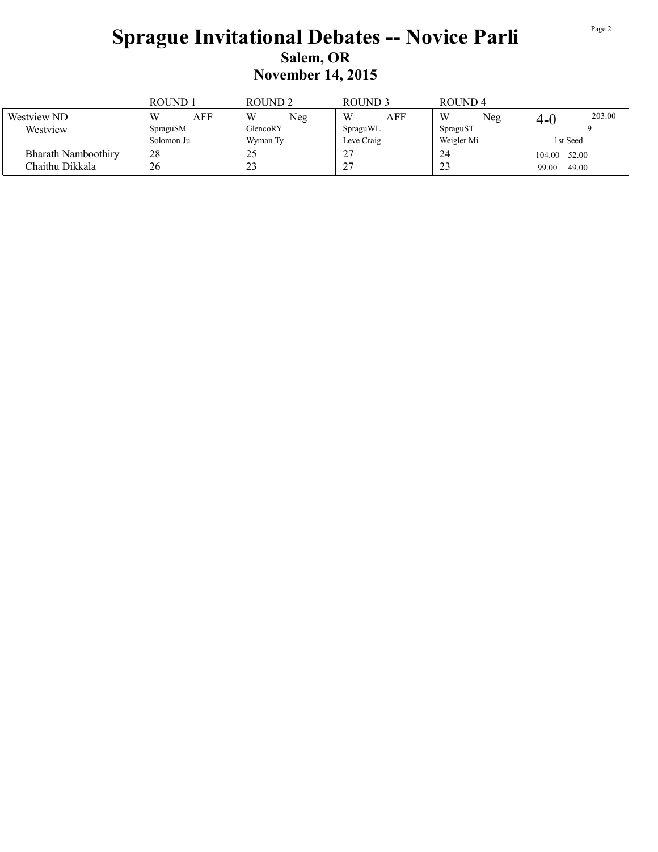|                     | ROUND 1    | ROUND <sub>2</sub> | ROUND <sub>3</sub>         | ROUND <sub>4</sub> |                 |
|---------------------|------------|--------------------|----------------------------|--------------------|-----------------|
| Westview ND         | W<br>AFF   | W<br>Neg           | W<br>AFF                   | W<br>Neg           | 203.00<br>4-U   |
| Westview            | SpraguSM   | GlencoRY           | SpraguWL                   | SpraguST           |                 |
|                     | Solomon Ju | Wyman Ty           | Leve Craig                 | Weigler Mi         | 1st Seed        |
| Bharath Namboothiry | 28         | 29                 | 27<br>Δ,                   | 24                 | 52.00<br>104.00 |
| Chaithu Dikkala     | 26         | $\bigcap$<br>29    | $\gamma$<br>$\overline{ }$ | $\mathbf{A}$<br>23 | 49.00<br>99.00  |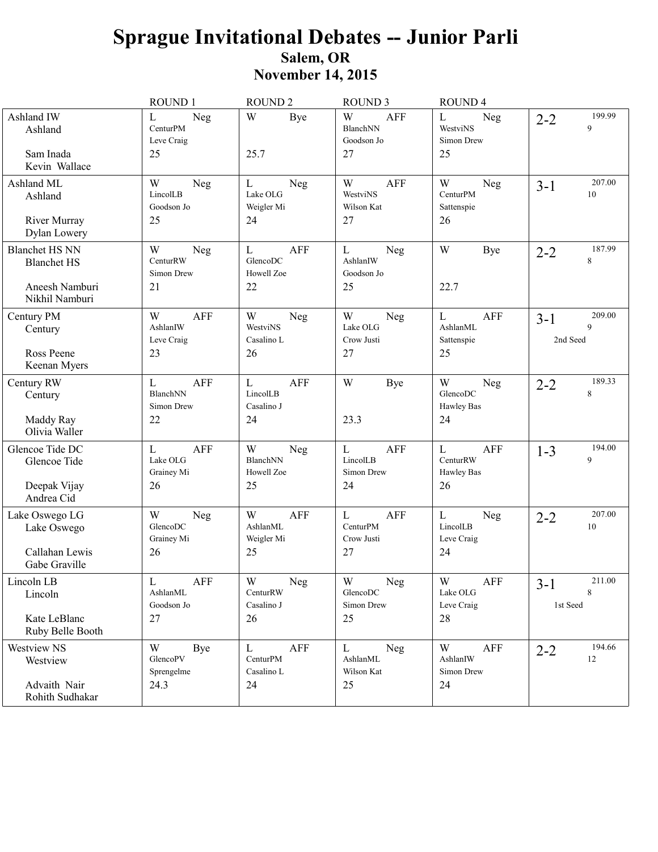|                                                                                 | ROUND 1                                                    | ROUND <sub>2</sub>                                         | ROUND <sub>3</sub>                                 | ROUND <sub>4</sub>                                         |                                      |
|---------------------------------------------------------------------------------|------------------------------------------------------------|------------------------------------------------------------|----------------------------------------------------|------------------------------------------------------------|--------------------------------------|
| Ashland IW<br>Ashland<br>Sam Inada<br>Kevin Wallace                             | Neg<br>L<br>CenturPM<br>Leve Craig<br>25                   | W<br><b>Bye</b><br>25.7                                    | W<br>AFF<br>BlanchNN<br>Goodson Jo<br>27           | $\mathbf L$<br>Neg<br>WestviNS<br>Simon Drew<br>25         | 199.99<br>$2 - 2$<br>9               |
| Ashland ML<br>Ashland<br>River Murray<br>Dylan Lowery                           | W<br>Neg<br>LincolLB<br>Goodson Jo<br>25                   | L<br>Neg<br>Lake OLG<br>Weigler Mi<br>24                   | W<br>AFF<br>WestviNS<br>Wilson Kat<br>27           | W<br>Neg<br>CenturPM<br>Sattenspie<br>26                   | 207.00<br>$3 - 1$<br>10              |
| <b>Blanchet HS NN</b><br><b>Blanchet HS</b><br>Aneesh Namburi<br>Nikhil Namburi | W<br>Neg<br>CenturRW<br>Simon Drew<br>21                   | $\mathbf{L}$<br><b>AFF</b><br>GlencoDC<br>Howell Zoe<br>22 | L<br>Neg<br>AshlanIW<br>Goodson Jo<br>25           | W<br>Bye<br>22.7                                           | 187.99<br>$2 - 2$<br>8               |
| Century PM<br>Century<br>Ross Peene<br>Keenan Myers                             | W<br><b>AFF</b><br>AshlanIW<br>Leve Craig<br>23            | W<br>Neg<br>WestviNS<br>Casalino L<br>26                   | W<br>Neg<br>Lake OLG<br>Crow Justi<br>27           | $\mathbf{L}$<br><b>AFF</b><br>AshlanML<br>Sattenspie<br>25 | 209.00<br>$3 - 1$<br>9<br>2nd Seed   |
| Century RW<br>Century<br>Maddy Ray<br>Olivia Waller                             | $\mathbf{L}$<br><b>AFF</b><br>BlanchNN<br>Simon Drew<br>22 | $\mathbf L$<br>AFF<br>LincolLB<br>Casalino J<br>24         | W<br>Bye<br>23.3                                   | W<br>Neg<br>GlencoDC<br><b>Hawley Bas</b><br>24            | 189.33<br>$2 - 2$<br>8               |
| Glencoe Tide DC<br>Glencoe Tide<br>Deepak Vijay<br>Andrea Cid                   | L<br><b>AFF</b><br>Lake OLG<br>Grainey Mi<br>26            | W<br>Neg<br>BlanchNN<br>Howell Zoe<br>25                   | L<br><b>AFF</b><br>LincolLB<br>Simon Drew<br>24    | $\mathbf L$<br>AFF<br>CenturRW<br><b>Hawley Bas</b><br>26  | 194.00<br>$1 - 3$<br>9               |
| Lake Oswego LG<br>Lake Oswego<br>Callahan Lewis<br>Gabe Graville                | W<br>Neg<br>GlencoDC<br>Grainey Mi<br>26                   | W<br><b>AFF</b><br>AshlanML<br>Weigler Mi<br>25            | AFF<br>L<br>CenturPM<br>Crow Justi<br>27           | $\mathbf{L}$<br>Neg<br>LincolLB<br>Leve Craig<br>24        | 207.00<br>$2 - 2$<br>10              |
| Lincoln LB<br>Lincoln<br>Kate LeBlanc<br>Ruby Belle Booth                       | $\mathbf L$<br>AFF<br>AshlanML<br>Goodson Jo<br>27         | $\mathbf W$<br>Neg<br>CenturRW<br>Casalino J<br>26         | $\mathbf W$<br>Neg<br>GlencoDC<br>Simon Drew<br>25 | $\mathbf W$<br>AFF<br>Lake OLG<br>Leve Craig<br>28         | $211.00\,$<br>$3-1$<br>8<br>1st Seed |
| Westview NS<br>Westview<br>Advaith Nair<br>Rohith Sudhakar                      | W<br>Bye<br>GlencoPV<br>Sprengelme<br>24.3                 | $\mathbf L$<br>AFF<br>CenturPM<br>Casalino L<br>24         | Neg<br>L<br>AshlanML<br>Wilson Kat<br>25           | W<br>AFF<br>AshlanIW<br>Simon Drew<br>24                   | 194.66<br>$2 - 2$<br>12              |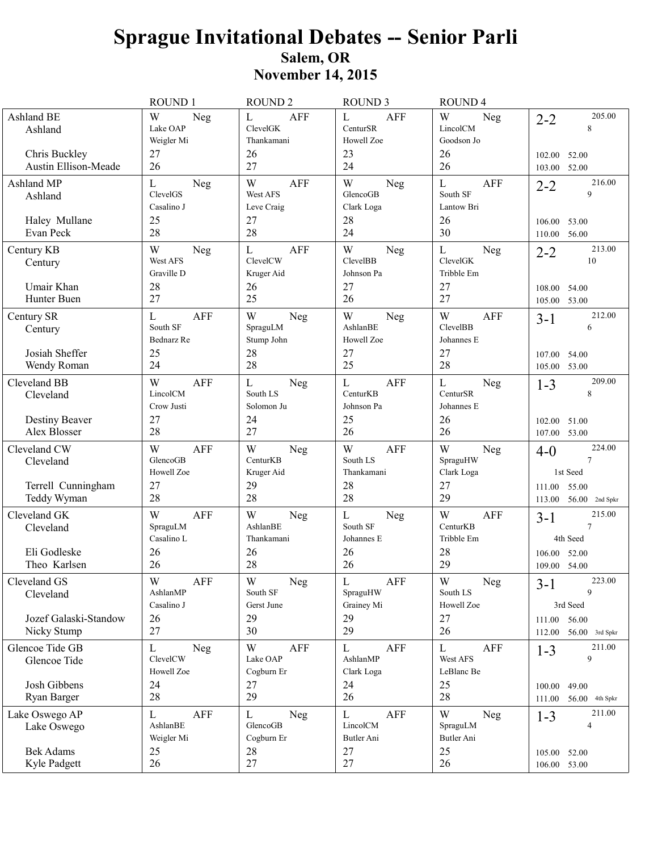|                                                                | <b>ROUND1</b>                                         | <b>ROUND 2</b>                                                  | <b>ROUND 3</b>                                                  | <b>ROUND4</b>                                                |                                                                    |
|----------------------------------------------------------------|-------------------------------------------------------|-----------------------------------------------------------------|-----------------------------------------------------------------|--------------------------------------------------------------|--------------------------------------------------------------------|
| Ashland BE<br>Ashland<br>Chris Buckley<br>Austin Ellison-Meade | W<br>Neg<br>Lake OAP<br>Weigler Mi<br>27<br>26        | $\mathbf L$<br><b>AFF</b><br>ClevelGK<br>Thankamani<br>26<br>27 | $\mathbf L$<br><b>AFF</b><br>CenturSR<br>Howell Zoe<br>23<br>24 | W<br>Neg<br>LincolCM<br>Goodson Jo<br>26<br>26               | 205.00<br>$2 - 2$<br>8<br>52.00<br>102.00<br>52.00<br>103.00       |
| Ashland MP<br>Ashland                                          | Neg<br>L<br>ClevelGS<br>Casalino J                    | <b>AFF</b><br>W<br>West AFS<br>Leve Craig                       | W<br>Neg<br>GlencoGB<br>Clark Loga                              | $\mathbf L$<br><b>AFF</b><br>South SF<br>Lantow Bri          | 216.00<br>$2 - 2$<br>9                                             |
| Haley Mullane<br>Evan Peck                                     | 25<br>28                                              | 27<br>28                                                        | 28<br>24                                                        | 26<br>30                                                     | 53.00<br>106.00<br>56.00<br>110.00                                 |
| Century KB<br>Century<br>Umair Khan                            | W<br>Neg<br>West AFS<br>Graville D<br>28              | $\mathbf L$<br><b>AFF</b><br>ClevelCW<br>Kruger Aid<br>26       | W<br>Neg<br>ClevelBB<br>Johnson Pa<br>27                        | $\mathbf L$<br>Neg<br>ClevelGK<br>Tribble Em<br>27           | 213.00<br>$2 - 2$<br>10<br>108.00<br>54.00                         |
| Hunter Buen                                                    | 27                                                    | 25                                                              | 26                                                              | 27                                                           | 53.00<br>105.00                                                    |
| Century SR<br>Century<br>Josiah Sheffer<br>Wendy Roman         | <b>AFF</b><br>L<br>South SF<br>Bednarz Re<br>25<br>24 | W<br>Neg<br>SpraguLM<br>Stump John<br>28<br>28                  | W<br>Neg<br>AshlanBE<br>Howell Zoe<br>27<br>25                  | W<br><b>AFF</b><br><b>ClevelBB</b><br>Johannes E<br>27<br>28 | 212.00<br>$3 - 1$<br>6<br>107.00<br>54.00<br>53.00<br>105.00       |
| Cleveland BB<br>Cleveland                                      | W<br><b>AFF</b><br>LincolCM<br>Crow Justi             | $\mathbf L$<br>Neg<br>South LS<br>Solomon Ju                    | <b>AFF</b><br>L<br>CenturKB<br>Johnson Pa                       | L<br>Neg<br>CenturSR<br>Johannes E                           | 209.00<br>$1 - 3$<br>8                                             |
| Destiny Beaver<br>Alex Blosser                                 | 27<br>28                                              | 24<br>27                                                        | 25<br>26                                                        | 26<br>26                                                     | 102.00<br>51.00<br>107.00 53.00                                    |
| Cleveland CW<br>Cleveland                                      | W<br>AFF<br>GlencoGB<br>Howell Zoe                    | W<br>Neg<br>CenturKB<br>Kruger Aid                              | W<br><b>AFF</b><br>South LS<br>Thankamani                       | W<br>Neg<br>SpraguHW<br>Clark Loga                           | 224.00<br>$4-0$<br>$\overline{7}$<br>1st Seed                      |
| Terrell Cunningham<br>Teddy Wyman                              | 27<br>28                                              | 29<br>28                                                        | 28<br>28                                                        | 27<br>29                                                     | 111.00 55.00<br>$56.00$ 2nd Spkr<br>113.00                         |
| Cleveland GK<br>Cleveland<br>Eli Godleske                      | W<br>AFF<br>SpraguLM<br>Casalino L<br>26              | W<br>Neg<br>AshlanBE<br>Thankamani<br>26                        | L<br>Neg<br>South SF<br>Johannes E<br>26                        | W<br><b>AFF</b><br>CenturKB<br>Tribble Em<br>28              | 215.00<br>$3 - 1$<br>$\overline{7}$<br>4th Seed<br>52.00<br>106.00 |
| Theo Karlsen                                                   | 26                                                    | 28                                                              | 26                                                              | 29                                                           | 109.00 54.00                                                       |
| Cleveland GS<br>Cleveland                                      | $\mathbf W$<br>AFF<br>AshlanMP<br>Casalino J          | $\ensuremath{\text{W}}$<br>Neg<br>South SF<br>Gerst June        | $\mathbf L$<br>${\sf AFF}$<br>SpraguHW<br>Grainey Mi            | $\mathbf W$<br>Neg<br>South LS<br>Howell Zoe                 | 223.00<br>$3-1$<br>9<br>3rd Seed                                   |
| Jozef Galaski-Standow<br>Nicky Stump                           | 26<br>27                                              | 29<br>30                                                        | 29<br>29                                                        | 27<br>26                                                     | 111.00 56.00<br>112.00 56.00 3rd Spkr                              |
| Glencoe Tide GB<br>Glencoe Tide                                | L<br>Neg<br>ClevelCW<br>Howell Zoe                    | W<br>AFF<br>Lake OAP<br>Cogburn Er                              | AFF<br>L<br>AshlanMP<br>Clark Loga                              | L<br>AFF<br>West AFS<br>LeBlanc Be                           | 211.00<br>$1 - 3$<br>9                                             |
| Josh Gibbens<br>Ryan Barger                                    | 24<br>28                                              | 27<br>29                                                        | 24<br>26                                                        | 25<br>28                                                     | 100.00<br>49.00                                                    |
|                                                                |                                                       |                                                                 |                                                                 |                                                              | $56.00$ 4th Spkr<br>111.00<br>211.00                               |
| Lake Oswego AP<br>Lake Oswego                                  | <b>AFF</b><br>L<br>AshlanBE<br>Weigler Mi             | $\mathbf L$<br>Neg<br>GlencoGB<br>Cogburn Er                    | $\mathbf L$<br>AFF<br>LincolCM<br>Butler Ani                    | W<br>Neg<br>SpraguLM<br>Butler Ani                           | $1 - 3$<br>4                                                       |
| <b>Bek Adams</b><br>Kyle Padgett                               | 25<br>26                                              | 28<br>$27\,$                                                    | 27<br>27                                                        | 25<br>26                                                     | 105.00 52.00<br>106.00 53.00                                       |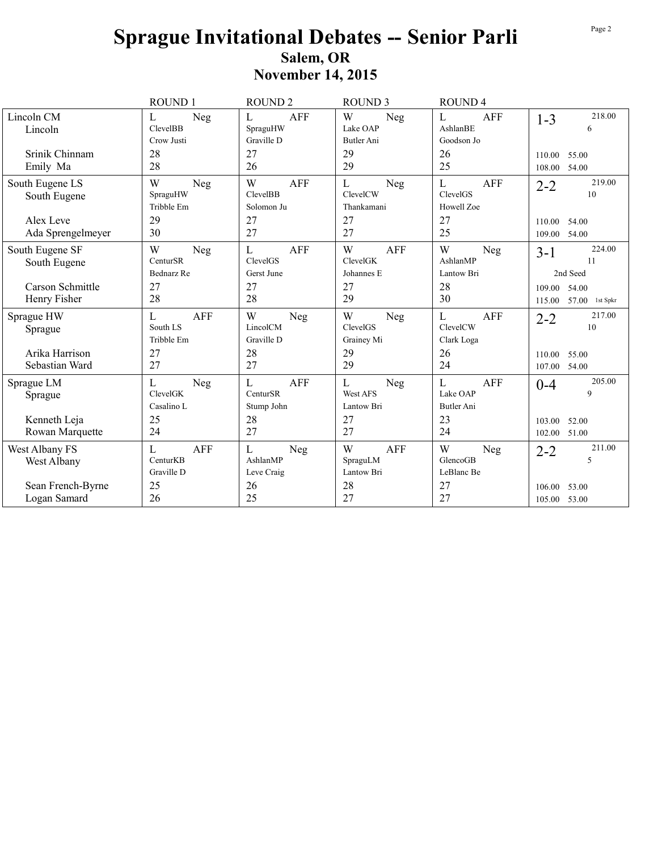|                                   | ROUND 1                                   | <b>ROUND2</b>                                       | <b>ROUND 3</b>                            | ROUND <sub>4</sub>                        |                                          |
|-----------------------------------|-------------------------------------------|-----------------------------------------------------|-------------------------------------------|-------------------------------------------|------------------------------------------|
| Lincoln CM<br>Lincoln             | Neg<br>L<br><b>ClevelBB</b><br>Crow Justi | <b>AFF</b><br>L<br>SpraguHW<br>Graville D           | W<br>Neg<br>Lake OAP<br><b>Butler Ani</b> | L<br><b>AFF</b><br>AshlanBE<br>Goodson Jo | 218.00<br>$1-3$<br>6                     |
| Srinik Chinnam<br>Emily Ma        | 28<br>28                                  | 27<br>26                                            | 29<br>29                                  | 26<br>25                                  | 55.00<br>110.00<br>54.00<br>108.00       |
| South Eugene LS<br>South Eugene   | W<br>Neg<br>SpraguHW<br>Tribble Em        | W<br><b>AFF</b><br>ClevelBB<br>Solomon Ju           | L<br>Neg<br>ClevelCW<br>Thankamani        | L<br><b>AFF</b><br>ClevelGS<br>Howell Zoe | 219.00<br>$2 - 2$<br>10                  |
| Alex Leve<br>Ada Sprengelmeyer    | 29<br>30                                  | 27<br>27                                            | 27<br>27                                  | 27<br>25                                  | 110.00<br>54.00<br>109.00 54.00          |
| South Eugene SF<br>South Eugene   | W<br>Neg<br>CenturSR<br><b>Bednarz</b> Re | $\mathbf L$<br><b>AFF</b><br>ClevelGS<br>Gerst June | W<br><b>AFF</b><br>ClevelGK<br>Johannes E | W<br>Neg<br>AshlanMP<br>Lantow Bri        | 224.00<br>$3 - 1$<br>11<br>2nd Seed      |
| Carson Schmittle<br>Henry Fisher  | 27<br>28                                  | 27<br>28                                            | 27<br>29                                  | 28<br>30                                  | 109.00 54.00<br>57.00 1st Spkr<br>115.00 |
| Sprague HW<br>Sprague             | <b>AFF</b><br>L<br>South LS<br>Tribble Em | W<br>Neg<br>LincolCM<br>Graville D                  | W<br>Neg<br>ClevelGS<br>Grainey Mi        | L<br><b>AFF</b><br>ClevelCW<br>Clark Loga | 217.00<br>$2 - 2$<br>10                  |
| Arika Harrison<br>Sebastian Ward  | 27<br>27                                  | 28<br>27                                            | 29<br>29                                  | 26<br>24                                  | 110.00<br>55.00<br>107.00<br>54.00       |
| Sprague LM<br>Sprague             | L<br>Neg<br>ClevelGK<br>Casalino L        | $\mathbf L$<br><b>AFF</b><br>CenturSR<br>Stump John | L<br>Neg<br>West AFS<br>Lantow Bri        | L<br><b>AFF</b><br>Lake OAP<br>Butler Ani | 205.00<br>$0 - 4$<br>9                   |
| Kenneth Leja<br>Rowan Marquette   | 25<br>24                                  | 28<br>27                                            | 27<br>27                                  | 23<br>24                                  | 103.00<br>52.00<br>102.00 51.00          |
| West Albany FS<br>West Albany     | AFF<br>L<br>CenturKB<br>Graville D        | $\mathbf{L}$<br>Neg<br>AshlanMP<br>Leve Craig       | <b>AFF</b><br>W<br>SpraguLM<br>Lantow Bri | W<br>Neg<br>GlencoGB<br>LeBlanc Be        | 211.00<br>$2 - 2$<br>5                   |
| Sean French-Byrne<br>Logan Samard | 25<br>26                                  | 26<br>25                                            | 28<br>27                                  | 27<br>27                                  | 53.00<br>106.00<br>105.00 53.00          |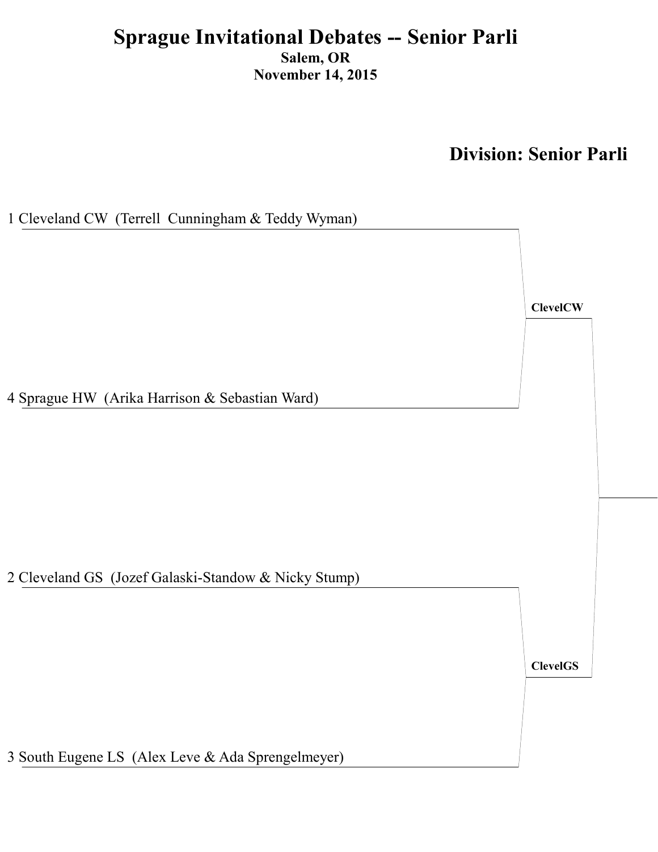**Division: Senior Parli** 

1 Cleveland CW (Terrell Cunningham & Teddy Wyman) **ClevelCW** 4 Sprague HW (Arika Harrison & Sebastian Ward) 2 Cleveland GS (Jozef Galaski-Standow & Nicky Stump) **ClevelGS** 

3 South Eugene LS (Alex Leve & Ada Sprengelmeyer)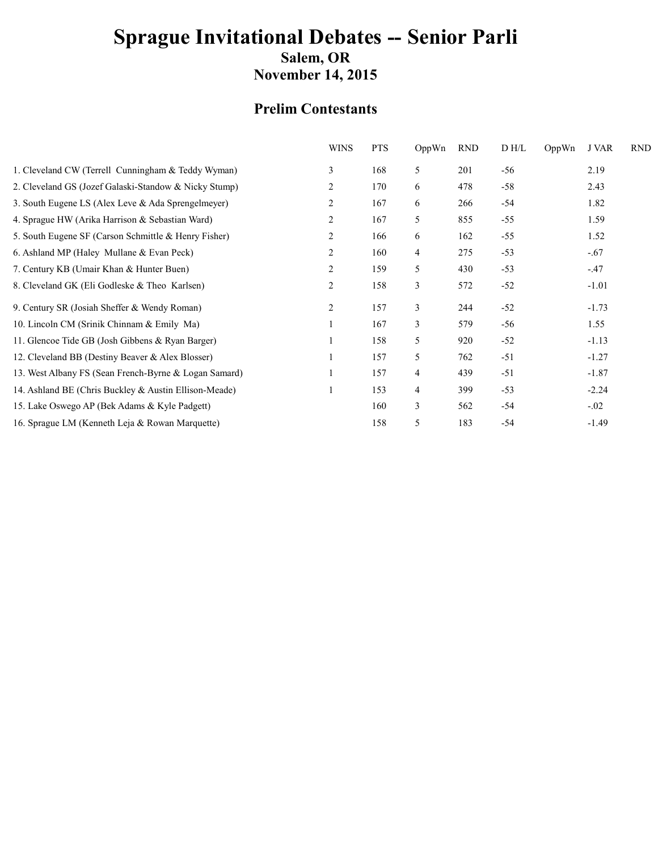#### **Prelim Contestants**

| <b>WINS</b>    | <b>PTS</b> | OppWn | <b>RND</b> | D H/L | OppWn | J VAR   | <b>RND</b> |
|----------------|------------|-------|------------|-------|-------|---------|------------|
| 3              | 168        | 5     | 201        | $-56$ |       | 2.19    |            |
| $\overline{2}$ | 170        | 6     | 478        | $-58$ |       | 2.43    |            |
| 2              | 167        | 6     | 266        | $-54$ |       | 1.82    |            |
| $\overline{2}$ | 167        | 5     | 855        | $-55$ |       | 1.59    |            |
| 2              | 166        | 6     | 162        | $-55$ |       | 1.52    |            |
| 2              | 160        | 4     | 275        | $-53$ |       | $-.67$  |            |
| 2              | 159        | 5     | 430        | $-53$ |       | $-.47$  |            |
| $\overline{2}$ | 158        | 3     | 572        | $-52$ |       | $-1.01$ |            |
| 2              | 157        | 3     | 244        | $-52$ |       | $-1.73$ |            |
|                | 167        | 3     | 579        | $-56$ |       | 1.55    |            |
|                | 158        | 5     | 920        | $-52$ |       | $-1.13$ |            |
|                | 157        | 5     | 762        | $-51$ |       | $-1.27$ |            |
|                | 157        | 4     | 439        | $-51$ |       | $-1.87$ |            |
| 1              | 153        | 4     | 399        | $-53$ |       | $-2.24$ |            |
|                | 160        | 3     | 562        | $-54$ |       | $-.02$  |            |
|                | 158        | 5     | 183        | $-54$ |       | $-1.49$ |            |
|                |            |       |            |       |       |         |            |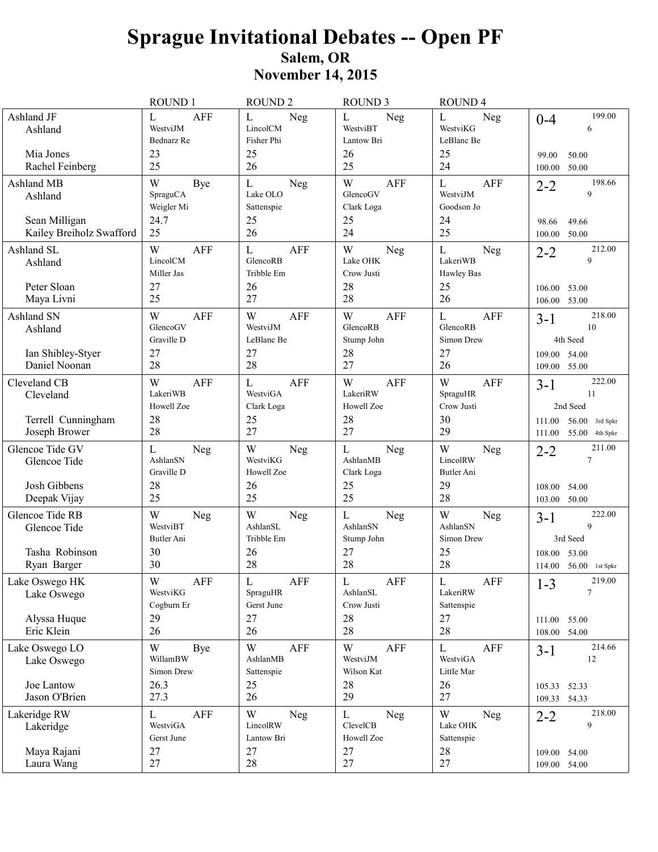# **Sprague Invitational Debates - Open PF** Salem, OR<br>November 14, 2015

|                                                                  | ROUND 1                                               | <b>ROUND 2</b>                                           | <b>ROUND 3</b>                                             | ROUND <sub>4</sub>                                         |                                                                                |
|------------------------------------------------------------------|-------------------------------------------------------|----------------------------------------------------------|------------------------------------------------------------|------------------------------------------------------------|--------------------------------------------------------------------------------|
| Ashland JF<br>Ashland<br>Mia Jones<br>Rachel Feinberg            | <b>AFF</b><br>L<br>WestviJM<br>Bednarz Re<br>23<br>25 | L<br>Neg<br>LincolCM<br>Fisher Phi<br>25<br>26           | L<br>Neg<br>WestviBT<br>Lantow Bri<br>26<br>25             | L<br>Neg<br>WestviKG<br>LeBlanc Be<br>25<br>24             | 199.00<br>$0 - 4$<br>6<br>99.00<br>50.00<br>100.00<br>50.00                    |
| Ashland MB<br>Ashland                                            | W<br>Bye<br>SpraguCA<br>Weigler Mi                    | $\mathbf L$<br>Neg<br>Lake OLO<br>Sattenspie             | W<br><b>AFF</b><br>GlencoGV<br>Clark Loga                  | $\mathbf L$<br>AFF<br>WestviJM<br>Goodson Jo               | 198.66<br>$2 - 2$<br>9                                                         |
| Sean Milligan<br>Kailey Breiholz Swafford                        | 24.7<br>25                                            | 25<br>26                                                 | 25<br>24                                                   | 24<br>25                                                   | 49.66<br>98.66<br>50.00<br>100.00                                              |
| Ashland SL<br>Ashland                                            | W<br><b>AFF</b><br>LincolCM<br>Miller Jas             | <b>AFF</b><br>L<br>GlencoRB<br>Tribble Em                | W<br>Neg<br>Lake OHK<br>Crow Justi                         | $\mathbf L$<br>Neg<br>LakeriWB<br>Hawley Bas               | 212.00<br>$2 - 2$<br>9                                                         |
| Peter Sloan<br>Maya Livni                                        | 27<br>25                                              | 26<br>27                                                 | 28<br>28                                                   | 25<br>26                                                   | 53.00<br>106.00<br>106.00 53.00                                                |
| Ashland SN<br>Ashland<br>Ian Shibley-Styer<br>Daniel Noonan      | <b>AFF</b><br>W<br>GlencoGV<br>Graville D<br>27<br>28 | <b>AFF</b><br>W<br>WestviJM<br>LeBlanc Be<br>27<br>28    | W<br><b>AFF</b><br>GlencoRB<br>Stump John<br>28<br>27      | ${\bf L}$<br>AFF<br>GlencoRB<br>Simon Drew<br>27<br>26     | 218.00<br>$3 - 1$<br>10<br>4th Seed<br>109.00 54.00<br>109.00 55.00            |
| Cleveland CB<br>Cleveland                                        | W<br><b>AFF</b><br>LakeriWB<br>Howell Zoe             | <b>AFF</b><br>L<br>WestviGA<br>Clark Loga                | W<br><b>AFF</b><br>LakeriRW<br>Howell Zoe                  | W<br>AFF<br>SpraguHR<br>Crow Justi                         | 222.00<br>$3-1$<br>11<br>2nd Seed                                              |
| Terrell Cunningham<br>Joseph Brower                              | 28<br>28                                              | 25<br>27                                                 | 28<br>27                                                   | 30<br>29                                                   | $56.00$ 3rd Spkr<br>111.00<br>111.00<br>55.00 4th Spkr                         |
| Glencoe Tide GV<br>Glencoe Tide<br>Josh Gibbens<br>Deepak Vijay  | L<br>Neg<br>AshlanSN<br>Graville D<br>28<br>25        | W<br>Neg<br>WestviKG<br>Howell Zoe<br>26<br>25           | L<br>Neg<br>AshlanMB<br>Clark Loga<br>25<br>25             | W<br>Neg<br>LincolRW<br>Butler Ani<br>29<br>28             | 211.00<br>$2 - 2$<br>$\tau$<br>108.00<br>54.00<br>103.00 50.00                 |
| Glencoe Tide RB<br>Glencoe Tide<br>Tasha Robinson<br>Ryan Barger | W<br>Neg<br>WestviBT<br>Butler Ani<br>30<br>30        | W<br>Neg<br>AshlanSL<br>Tribble Em<br>26<br>28           | L<br>Neg<br>AshlanSN<br>Stump John<br>27<br>28             | W<br>Neg<br>AshlanSN<br>Simon Drew<br>25<br>28             | 222.00<br>$3 - 1$<br>9<br>3rd Seed<br>53.00<br>108.00<br>114.00 56.00 1st Spkr |
| Lake Oswego HK<br>Lake Oswego<br>Alyssa Huque                    | W<br>AFF<br>WestviKG<br>Cogburn Er<br>29              | $\mathbf L$<br>AFF<br>SpraguHR<br>Gerst June<br>27       | $\mathbf L$<br>${\sf AFF}$<br>AshlanSL<br>Crow Justi<br>28 | $\mathbf L$<br>${\sf AFF}$<br>LakeriRW<br>Sattenspie<br>27 | 219.00<br>$1 - 3$<br>$\tau$<br>111.00 55.00                                    |
| Eric Klein                                                       | 26                                                    | 26                                                       | 28                                                         | 28                                                         | 108.00 54.00                                                                   |
| Lake Oswego LO<br>Lake Oswego                                    | W<br>Bye<br>WillamBW<br>Simon Drew                    | $\ensuremath{\text{W}}$<br>AFF<br>AshlanMB<br>Sattenspie | W<br><b>AFF</b><br>WestviJM<br>Wilson Kat                  | L<br>AFF<br>WestviGA<br>Little Mar                         | 214.66<br>$3 - 1$<br>12                                                        |
| Joe Lantow<br>Jason O'Brien                                      | 26.3<br>27.3                                          | 25<br>26                                                 | 28<br>29                                                   | 26<br>27                                                   | 105.33 52.33<br>109.33 54.33                                                   |
| Lakeridge RW<br>Lakeridge                                        | <b>AFF</b><br>L<br>WestviGA<br>Gerst June             | W<br>Neg<br>LincolRW<br>Lantow Bri                       | $\mathbf L$<br>Neg<br>ClevelCB<br>Howell Zoe               | W<br>Neg<br>Lake OHK<br>Sattenspie                         | 218.00<br>$2 - 2$<br>9                                                         |
| Maya Rajani<br>Laura Wang                                        | 27<br>27                                              | 27<br>28                                                 | 27<br>27                                                   | 28<br>27                                                   | 109.00 54.00<br>109.00 54.00                                                   |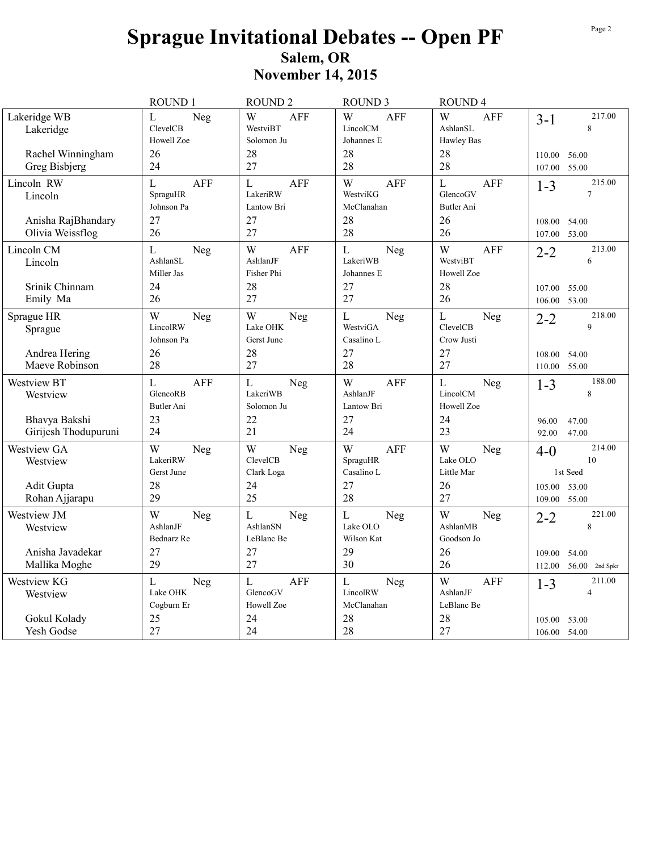|                                                          | ROUND 1                                                | ROUND <sub>2</sub>                                    | <b>ROUND 3</b>                                            | ROUND <sub>4</sub>                                          |                                                                         |
|----------------------------------------------------------|--------------------------------------------------------|-------------------------------------------------------|-----------------------------------------------------------|-------------------------------------------------------------|-------------------------------------------------------------------------|
| Lakeridge WB<br>Lakeridge                                | L<br>Neg<br>ClevelCB<br>Howell Zoe                     | W<br><b>AFF</b><br>WestviBT<br>Solomon Ju             | W<br><b>AFF</b><br>LincolCM<br>Johannes E                 | W<br><b>AFF</b><br>AshlanSL<br>Hawley Bas                   | 217.00<br>$3 - 1$<br>8                                                  |
| Rachel Winningham<br>Greg Bisbjerg                       | 26<br>24                                               | 28<br>27                                              | 28<br>28                                                  | 28<br>28                                                    | 110.00<br>56.00<br>55.00<br>107.00                                      |
| Lincoln RW<br>Lincoln                                    | $\overline{L}$<br><b>AFF</b><br>SpraguHR<br>Johnson Pa | $\mathbf{L}$<br><b>AFF</b><br>LakeriRW<br>Lantow Bri  | W<br><b>AFF</b><br>WestviKG<br>McClanahan                 | $\mathbf{L}$<br><b>AFF</b><br>GlencoGV<br><b>Butler Ani</b> | 215.00<br>$1 - 3$<br>$\overline{7}$                                     |
| Anisha RajBhandary<br>Olivia Weissflog                   | 27<br>26                                               | 27<br>27                                              | 28<br>28                                                  | 26<br>26                                                    | 54.00<br>108.00<br>107.00<br>53.00                                      |
| Lincoln CM<br>Lincoln<br>Srinik Chinnam<br>Emily Ma      | L<br>Neg<br>AshlanSL<br>Miller Jas<br>24<br>26         | W<br><b>AFF</b><br>AshlanJF<br>Fisher Phi<br>28<br>27 | $\mathbf{L}$<br>Neg<br>LakeriWB<br>Johannes E<br>27<br>27 | W<br><b>AFF</b><br>WestviBT<br>Howell Zoe<br>28<br>26       | 213.00<br>$2 - 2$<br>6<br>107.00<br>55.00<br>53.00<br>106.00            |
| Sprague HR<br>Sprague<br>Andrea Hering<br>Maeve Robinson | W<br>Neg<br>LincolRW<br>Johnson Pa<br>26<br>28         | W<br>Neg<br>Lake OHK<br>Gerst June<br>28<br>27        | $\mathbf L$<br>Neg<br>WestviGA<br>Casalino L<br>27<br>28  | $\mathbf{L}$<br>Neg<br>ClevelCB<br>Crow Justi<br>27<br>27   | 218.00<br>$2 - 2$<br>$\mathbf{Q}$<br>54.00<br>108.00<br>55.00<br>110.00 |
| Westview BT<br>Westview<br>Bhavya Bakshi                 | L<br><b>AFF</b><br>GlencoRB<br>Butler Ani<br>23        | $\mathbf L$<br>Neg<br>LakeriWB<br>Solomon Ju<br>22    | W<br><b>AFF</b><br><b>AshlanJF</b><br>Lantow Bri<br>27    | $\mathbf{L}$<br>Neg<br>LincolCM<br>Howell Zoe<br>24         | 188.00<br>$1 - 3$<br>8                                                  |
| Girijesh Thodupuruni                                     | 24                                                     | 21                                                    | 24                                                        | 23                                                          | 96.00<br>47.00<br>92.00<br>47.00                                        |
| Westview GA<br>Westview                                  | W<br>Neg<br>LakeriRW<br>Gerst June                     | W<br>Neg<br>ClevelCB<br>Clark Loga                    | W<br><b>AFF</b><br>SpraguHR<br>Casalino L                 | W<br>Neg<br>Lake OLO<br>Little Mar                          | 214.00<br>$4 - 0$<br>10<br>1st Seed                                     |
| Adit Gupta<br>Rohan Ajjarapu                             | 28<br>29                                               | 24<br>25                                              | 27<br>28                                                  | 26<br>27                                                    | 53.00<br>105.00<br>55.00<br>109.00                                      |
| Westview JM<br>Westview                                  | W<br>Neg<br>AshlanJF<br>Bednarz Re                     | $\mathbf{L}$<br>Neg<br>AshlanSN<br>LeBlanc Be         | ${\bf L}$<br>Neg<br>Lake OLO<br>Wilson Kat                | W<br>Neg<br>AshlanMB<br>Goodson Jo                          | 221.00<br>$2 - 2$<br>8                                                  |
| Anisha Javadekar<br>Mallika Moghe                        | 27<br>29                                               | 27<br>27                                              | 29<br>30                                                  | 26<br>26                                                    | 54.00<br>109.00<br>$56.00$ 2nd Spkr<br>112.00                           |
| Westview KG<br>Westview                                  | L<br>Neg<br>Lake OHK<br>Cogburn Er                     | $\mathbf{L}$<br><b>AFF</b><br>GlencoGV<br>Howell Zoe  | $\mathbf L$<br>Neg<br>LincolRW<br>McClanahan              | W<br><b>AFF</b><br>AshlanJF<br>LeBlanc Be                   | 211.00<br>$1 - 3$<br>$\overline{4}$                                     |
| Gokul Kolady<br>Yesh Godse                               | 25<br>27                                               | 24<br>24                                              | 28<br>28                                                  | 28<br>27                                                    | 105.00<br>53.00<br>106.00 54.00                                         |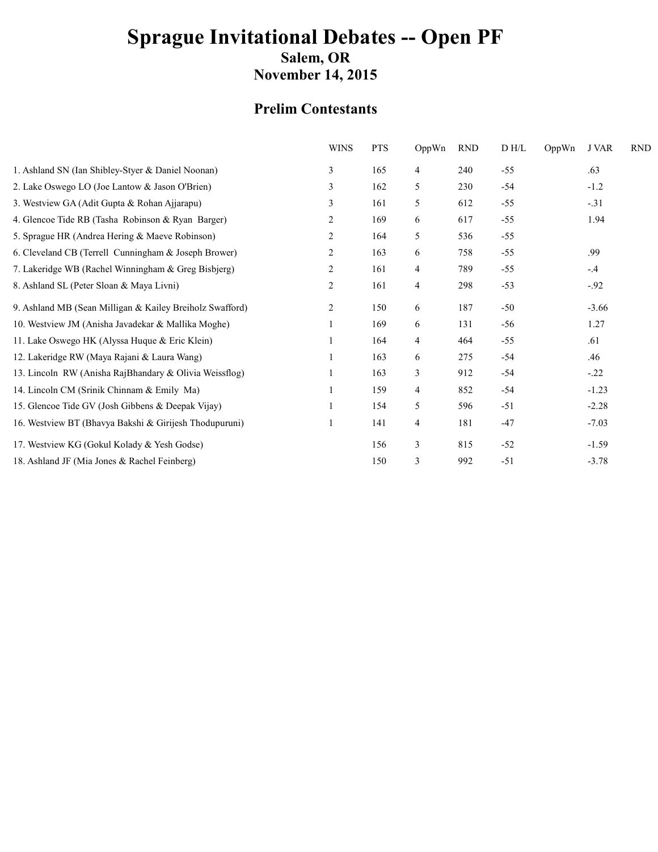# **Sprague Invitational Debates -- Open PF** Salem, OR

**November 14, 2015** 

### **Prelim Contestants**

| <b>WINS</b>    | <b>PTS</b> | OppWn          | <b>RND</b> | D H/L | OppWn | J VAR   | <b>RND</b> |
|----------------|------------|----------------|------------|-------|-------|---------|------------|
| 3              | 165        | $\overline{4}$ | 240        | $-55$ |       | .63     |            |
| 3              | 162        | 5              | 230        | $-54$ |       | $-1.2$  |            |
| 3              | 161        | 5              | 612        | $-55$ |       | $-.31$  |            |
| 2              | 169        | 6              | 617        | $-55$ |       | 1.94    |            |
| 2              | 164        | 5              | 536        | $-55$ |       |         |            |
| 2              | 163        | 6              | 758        | $-55$ |       | .99     |            |
| 2              | 161        | 4              | 789        | $-55$ |       | $-.4$   |            |
| $\overline{c}$ | 161        | $\overline{4}$ | 298        | $-53$ |       | $-.92$  |            |
| 2              | 150        | 6              | 187        | $-50$ |       | $-3.66$ |            |
|                | 169        | 6              | 131        | $-56$ |       | 1.27    |            |
|                | 164        | $\overline{4}$ | 464        | $-55$ |       | .61     |            |
|                | 163        | 6              | 275        | $-54$ |       | .46     |            |
|                | 163        | 3              | 912        | $-54$ |       | $-.22$  |            |
|                | 159        | 4              | 852        | $-54$ |       | $-1.23$ |            |
|                | 154        | 5              | 596        | $-51$ |       | $-2.28$ |            |
|                | 141        | 4              | 181        | $-47$ |       | $-7.03$ |            |
|                | 156        | 3              | 815        | $-52$ |       | $-1.59$ |            |
|                | 150        | 3              | 992        | $-51$ |       | $-3.78$ |            |
|                |            |                |            |       |       |         |            |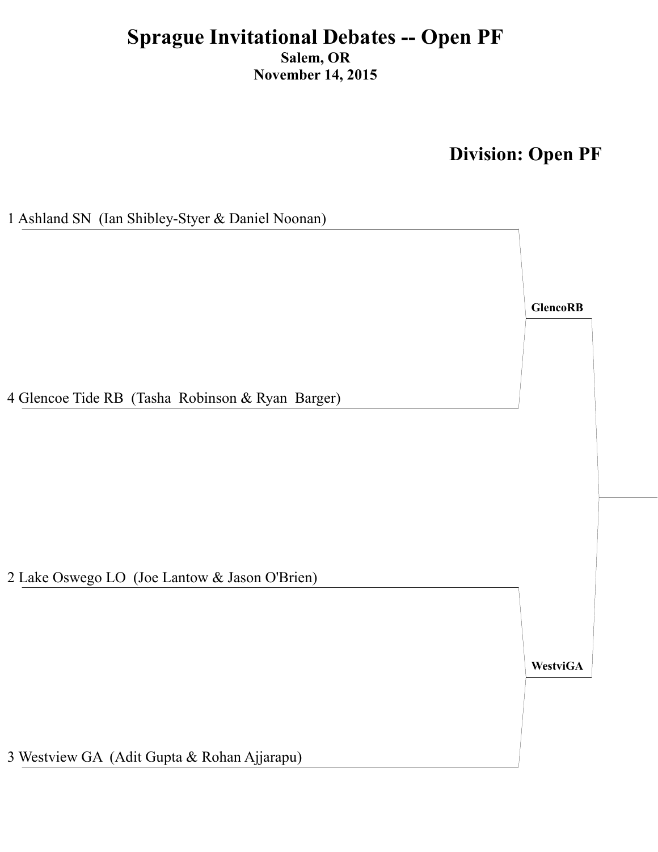**Division: Open PF** 

**GlencoRB** 

1 Ashland SN (Ian Shibley-Styer & Daniel Noonan)

4 Glencoe Tide RB (Tasha Robinson & Ryan Barger)

2 Lake Oswego LO (Joe Lantow & Jason O'Brien)

**WestviGA** 

3 Westview GA (Adit Gupta & Rohan Ajjarapu)